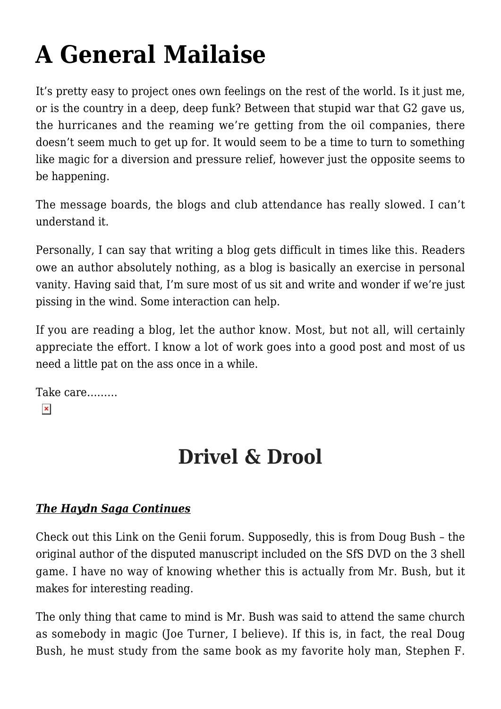## **[A General Mailaise](https://intenselymagic.com/2005/10/14/a-general-mailaise/)**

It's pretty easy to project ones own feelings on the rest of the world. Is it just me, or is the country in a deep, deep funk? Between that stupid war that G2 gave us, the hurricanes and the reaming we're getting from the oil companies, there doesn't seem much to get up for. It would seem to be a time to turn to something like magic for a diversion and pressure relief, however just the opposite seems to be happening.

The message boards, the blogs and club attendance has really slowed. I can't understand it.

Personally, I can say that writing a blog gets difficult in times like this. Readers owe an author absolutely nothing, as a blog is basically an exercise in personal vanity. Having said that, I'm sure most of us sit and write and wonder if we're just pissing in the wind. Some interaction can help.

If you are reading a blog, let the author know. Most, but not all, will certainly appreciate the effort. I know a lot of work goes into a good post and most of us need a little pat on the ass once in a while.

Take care………  $\pmb{\times}$ 

## **Drivel & Drool**

## *The Haydn Saga Continues*

Check out this [Link](http://geniimagazine.com/forum/cgi-bin/ultimatebb.cgi?ubb=get_topic;f=10;t=001824) on the Genii forum. Supposedly, this is from Doug Bush – the original author of the disputed manuscript included on the SfS DVD on the 3 shell game. I have no way of knowing whether this is actually from Mr. Bush, but it makes for interesting reading.

The only thing that came to mind is Mr. Bush was said to attend the same church as somebody in magic (Joe Turner, I believe). If this is, in fact, the real Doug Bush, he must study from the same book as my favorite holy man, Stephen F.